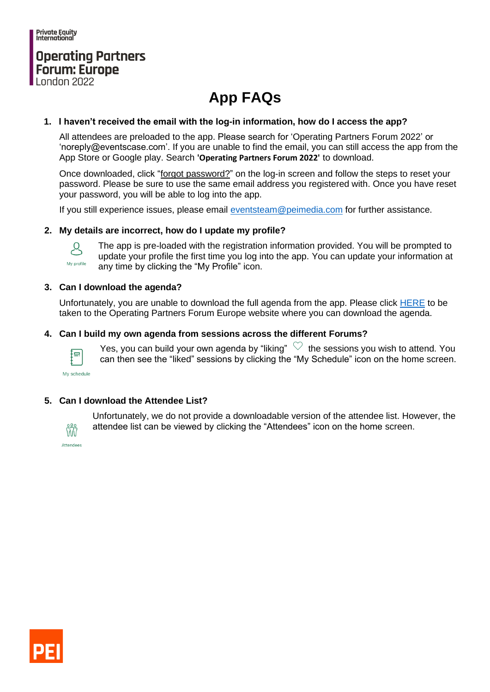Private Equity<br>International

## **Operating Partners Forum: Europe**

# **App FAQs**

#### **1. I haven't received the email with the log-in information, how do I access the app?**

All attendees are preloaded to the app. Please search for 'Operating Partners Forum 2022' or 'noreply@eventscase.com'. If you are unable to find the email, you can still access the app from the App Store or Google play. Search **'Operating Partners Forum 2022'** to download.

Once downloaded, click "forgot password?" on the log-in screen and follow the steps to reset your password. Please be sure to use the same email address you registered with. Once you have reset your password, you will be able to log into the app.

If you still experience issues, please email [eventsteam@peimedia.com](mailto:eventsteam@peimedia.com?subject=Berlin%20App%20Query%20) for further assistance.

#### **2. My details are incorrect, how do I update my profile?**



The app is pre-loaded with the registration information provided. You will be prompted to update your profile the first time you log into the app. You can update your information at any time by clicking the "My Profile" icon.

#### **3. Can I download the agenda?**

Unfortunately, you are unable to download the full agenda from the app. Please click [HERE](https://www.peievents.com/en/event/operating-partners-forum-europe/agenda/) to be taken to the Operating Partners Forum Europe website where you can download the agenda.

#### **4. Can I build my own agenda from sessions across the different Forums?**



Yes, you can build your own agenda by "liking"  $\heartsuit$  the sessions you wish to attend. You can then see the "liked" sessions by clicking the "My Schedule" icon on the home screen.

My schedule

#### **5. Can I download the Attendee List?**

Unfortunately, we do not provide a downloadable version of the attendee list. However, the attendee list can be viewed by clicking the "Attendees" icon on the home screen.